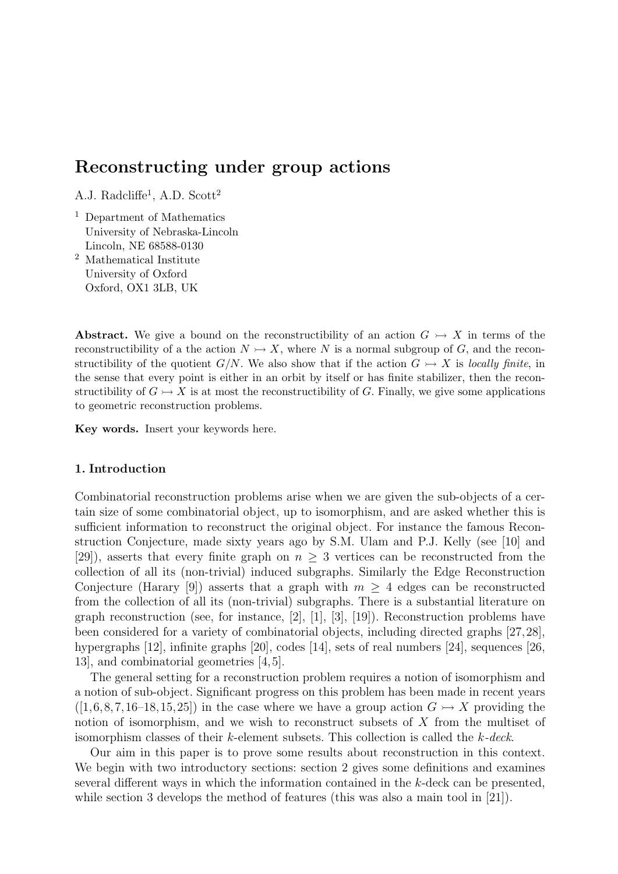A.J. Radcliffe<sup>1</sup>, A.D. Scott<sup>2</sup>

- <sup>1</sup> Department of Mathematics University of Nebraska-Lincoln Lincoln, NE 68588-0130
- <sup>2</sup> Mathematical Institute University of Oxford Oxford, OX1 3LB, UK

Abstract. We give a bound on the reconstructibility of an action  $G \rightarrow X$  in terms of the reconstructibility of a the action  $N \rightarrow X$ , where N is a normal subgroup of G, and the reconstructibility of the quotient  $G/N$ . We also show that if the action  $G \rightarrow X$  is locally finite, in the sense that every point is either in an orbit by itself or has finite stabilizer, then the reconstructibility of  $G \rightarrow X$  is at most the reconstructibility of G. Finally, we give some applications to geometric reconstruction problems.

Key words. Insert your keywords here.

## 1. Introduction

Combinatorial reconstruction problems arise when we are given the sub-objects of a certain size of some combinatorial object, up to isomorphism, and are asked whether this is sufficient information to reconstruct the original object. For instance the famous Reconstruction Conjecture, made sixty years ago by S.M. Ulam and P.J. Kelly (see [10] and [29]), asserts that every finite graph on  $n \geq 3$  vertices can be reconstructed from the collection of all its (non-trivial) induced subgraphs. Similarly the Edge Reconstruction Conjecture (Harary [9]) asserts that a graph with  $m > 4$  edges can be reconstructed from the collection of all its (non-trivial) subgraphs. There is a substantial literature on graph reconstruction (see, for instance, [2], [1], [3], [19]). Reconstruction problems have been considered for a variety of combinatorial objects, including directed graphs [27,28], hypergraphs [12], infinite graphs [20], codes [14], sets of real numbers [24], sequences [26, 13], and combinatorial geometries [4,5].

The general setting for a reconstruction problem requires a notion of isomorphism and a notion of sub-object. Significant progress on this problem has been made in recent years  $([1,6,8,7,16-18,15,25])$  in the case where we have a group action  $G \rightarrow X$  providing the notion of isomorphism, and we wish to reconstruct subsets of X from the multiset of isomorphism classes of their k-element subsets. This collection is called the k-deck.

Our aim in this paper is to prove some results about reconstruction in this context. We begin with two introductory sections: section 2 gives some definitions and examines several different ways in which the information contained in the k-deck can be presented, while section 3 develops the method of features (this was also a main tool in [21]).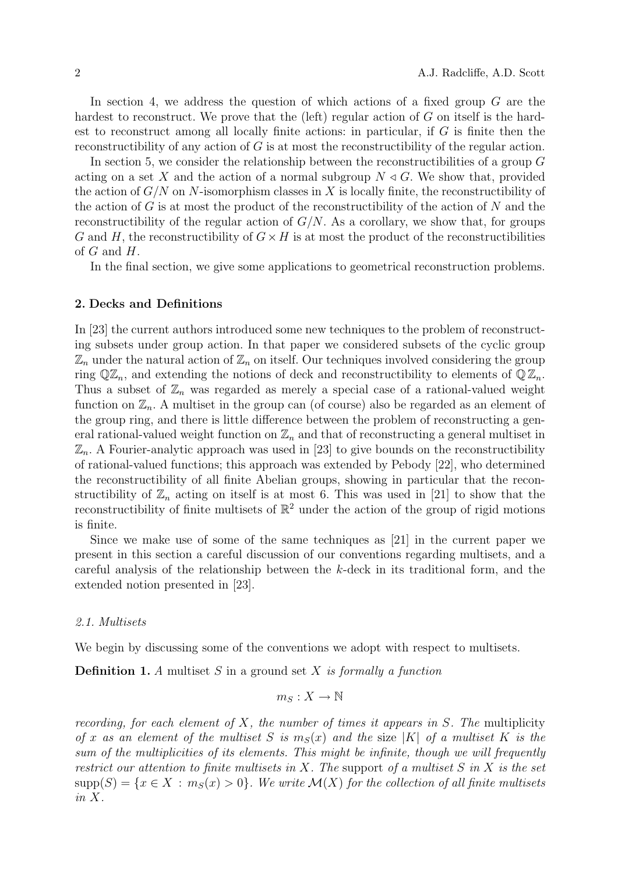In section 4, we address the question of which actions of a fixed group  $G$  are the hardest to reconstruct. We prove that the (left) regular action of G on itself is the hardest to reconstruct among all locally finite actions: in particular, if G is finite then the reconstructibility of any action of G is at most the reconstructibility of the regular action.

In section 5, we consider the relationship between the reconstructibilities of a group  $G$ acting on a set X and the action of a normal subgroup  $N \triangleleft G$ . We show that, provided the action of  $G/N$  on N-isomorphism classes in X is locally finite, the reconstructibility of the action of  $G$  is at most the product of the reconstructibility of the action of  $N$  and the reconstructibility of the regular action of  $G/N$ . As a corollary, we show that, for groups G and H, the reconstructibility of  $G \times H$  is at most the product of the reconstructibilities of  $G$  and  $H$ .

In the final section, we give some applications to geometrical reconstruction problems.

## 2. Decks and Definitions

In [23] the current authors introduced some new techniques to the problem of reconstructing subsets under group action. In that paper we considered subsets of the cyclic group  $\mathbb{Z}_n$  under the natural action of  $\mathbb{Z}_n$  on itself. Our techniques involved considering the group ring  $\mathbb{Q}\mathbb{Z}_n$ , and extending the notions of deck and reconstructibility to elements of  $\mathbb{Q}\mathbb{Z}_n$ . Thus a subset of  $\mathbb{Z}_n$  was regarded as merely a special case of a rational-valued weight function on  $\mathbb{Z}_n$ . A multiset in the group can (of course) also be regarded as an element of the group ring, and there is little difference between the problem of reconstructing a general rational-valued weight function on  $\mathbb{Z}_n$  and that of reconstructing a general multiset in  $\mathbb{Z}_n$ . A Fourier-analytic approach was used in [23] to give bounds on the reconstructibility of rational-valued functions; this approach was extended by Pebody [22], who determined the reconstructibility of all finite Abelian groups, showing in particular that the reconstructibility of  $\mathbb{Z}_n$  acting on itself is at most 6. This was used in [21] to show that the reconstructibility of finite multisets of  $\mathbb{R}^2$  under the action of the group of rigid motions is finite.

Since we make use of some of the same techniques as [21] in the current paper we present in this section a careful discussion of our conventions regarding multisets, and a careful analysis of the relationship between the k-deck in its traditional form, and the extended notion presented in [23].

## 2.1. Multisets

We begin by discussing some of the conventions we adopt with respect to multisets.

**Definition 1.** A multiset S in a ground set X is formally a function

$$
m_S: X \to \mathbb{N}
$$

recording, for each element of  $X$ , the number of times it appears in  $S$ . The multiplicity of x as an element of the multiset S is  $m_S(x)$  and the size |K| of a multiset K is the sum of the multiplicities of its elements. This might be infinite, though we will frequently restrict our attention to finite multisets in X. The support of a multiset  $S$  in  $X$  is the set  ${\rm supp}(S) = \{x \in X : m_S(x) > 0\}$ . We write  $\mathcal{M}(X)$  for the collection of all finite multisets in X.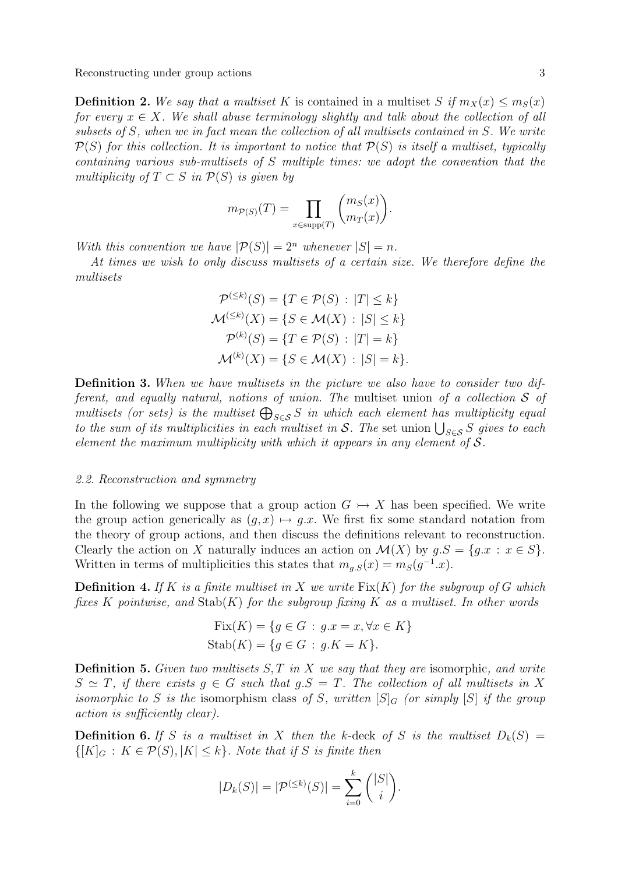**Definition 2.** We say that a multiset K is contained in a multiset S if  $m_X(x) \le m_S(x)$ for every  $x \in X$ . We shall abuse terminology slightly and talk about the collection of all subsets of S, when we in fact mean the collection of all multisets contained in S. We write  $P(S)$  for this collection. It is important to notice that  $P(S)$  is itself a multiset, typically containing various sub-multisets of S multiple times: we adopt the convention that the multiplicity of  $T \subset S$  in  $\mathcal{P}(S)$  is given by

$$
m_{\mathcal{P}(S)}(T) = \prod_{x \in \text{supp}(T)} \binom{m_S(x)}{m_T(x)}.
$$

With this convention we have  $|\mathcal{P}(S)| = 2^n$  whenever  $|S| = n$ .

At times we wish to only discuss multisets of a certain size. We therefore define the multisets

$$
\mathcal{P}^{(\leq k)}(S) = \{T \in \mathcal{P}(S) : |T| \leq k\}
$$

$$
\mathcal{M}^{(\leq k)}(X) = \{S \in \mathcal{M}(X) : |S| \leq k\}
$$

$$
\mathcal{P}^{(k)}(S) = \{T \in \mathcal{P}(S) : |T| = k\}
$$

$$
\mathcal{M}^{(k)}(X) = \{S \in \mathcal{M}(X) : |S| = k\}.
$$

Definition 3. When we have multisets in the picture we also have to consider two different, and equally natural, notions of union. The multiset union of a collection  $S$  of multisets (or sets) is the multiset  $\bigoplus_{S\in\mathcal{S}}S$  in which each element has multiplicity equal to the sum of its multiplicities in each multiset in S. The set union  $\bigcup_{S\in\mathcal{S}}S$  gives to each element the maximum multiplicity with which it appears in any element of  $S$ .

### 2.2. Reconstruction and symmetry

In the following we suppose that a group action  $G \rightarrow X$  has been specified. We write the group action generically as  $(q, x) \mapsto q.x$ . We first fix some standard notation from the theory of group actions, and then discuss the definitions relevant to reconstruction. Clearly the action on X naturally induces an action on  $\mathcal{M}(X)$  by  $g.S = \{g.x : x \in S\}.$ Written in terms of multiplicities this states that  $m_{g,S}(x) = m_S(g^{-1}x)$ .

**Definition 4.** If K is a finite multiset in X we write  $Fix(K)$  for the subgroup of G which fixes K pointwise, and  $\text{Stab}(K)$  for the subgroup fixing K as a multiset. In other words

$$
Fix(K) = \{ g \in G : g.x = x, \forall x \in K \}
$$

$$
Stab(K) = \{ g \in G : g.K = K \}.
$$

**Definition 5.** Given two multisets  $S, T$  in X we say that they are isomorphic, and write  $S \simeq T$ , if there exists  $g \in G$  such that  $g.S = T$ . The collection of all multisets in X isomorphic to S is the isomorphism class of S, written  $[S]_G$  (or simply  $[S]$  if the group action is sufficiently clear).

**Definition 6.** If S is a multiset in X then the k-deck of S is the multiset  $D_k(S)$  =  $\{[K]_G : K \in \mathcal{P}(S), |K| \leq k\}$ . Note that if S is finite then

$$
|D_k(S)| = |\mathcal{P}^{(\leq k)}(S)| = \sum_{i=0}^k \binom{|S|}{i}.
$$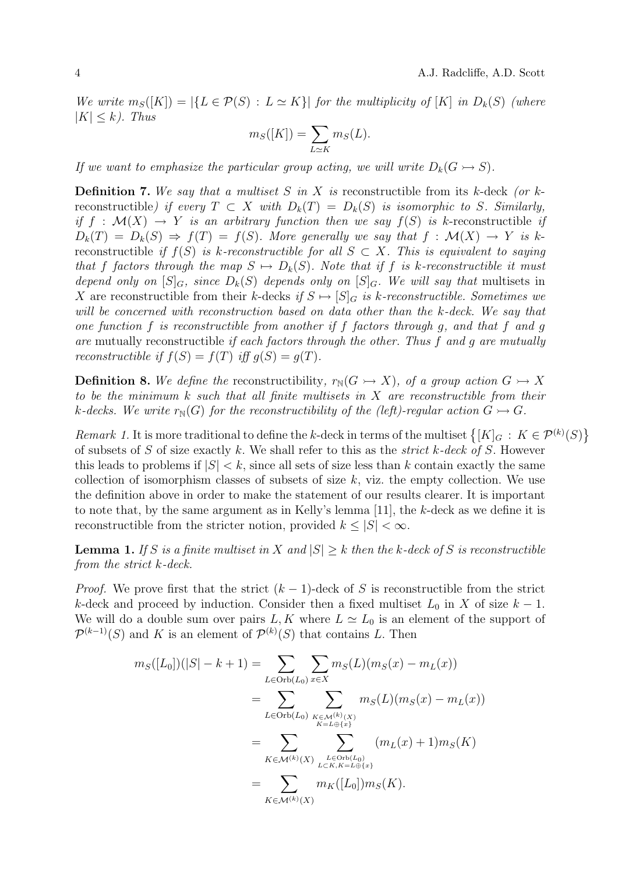We write  $m_S([K]) = |\{L \in \mathcal{P}(S) : L \simeq K\}|$  for the multiplicity of  $[K]$  in  $D_k(S)$  (where  $|K| \leq k$ . Thus

$$
m_S([K]) = \sum_{L \simeq K} m_S(L).
$$

If we want to emphasize the particular group acting, we will write  $D_k(G \rightarrow S)$ .

**Definition 7.** We say that a multiset S in X is reconstructible from its k-deck (or kreconstructible) if every  $T \subset X$  with  $D_k(T) = D_k(S)$  is isomorphic to S. Similarly, if  $f : \mathcal{M}(X) \to Y$  is an arbitrary function then we say  $f(S)$  is k-reconstructible if  $D_k(T) = D_k(S) \Rightarrow f(T) = f(S)$ . More generally we say that  $f : \mathcal{M}(X) \rightarrow Y$  is kreconstructible if  $f(S)$  is k-reconstructible for all  $S \subset X$ . This is equivalent to saying that f factors through the map  $S \mapsto D_k(S)$ . Note that if f is k-reconstructible it must depend only on  $[S]_G$ , since  $D_k(S)$  depends only on  $[S]_G$ . We will say that multisets in X are reconstructible from their k-decks if  $S \mapsto [S]_G$  is k-reconstructible. Sometimes we will be concerned with reconstruction based on data other than the k-deck. We say that one function f is reconstructible from another if f factors through g, and that f and g are mutually reconstructible if each factors through the other. Thus f and g are mutually reconstructible if  $f(S) = f(T)$  iff  $g(S) = g(T)$ .

**Definition 8.** We define the reconstructibility,  $r_N(G \rightarrow X)$ , of a group action  $G \rightarrow X$ to be the minimum  $k$  such that all finite multisets in  $X$  are reconstructible from their k-decks. We write  $r_N(G)$  for the reconstructibility of the (left)-regular action  $G \rightarrowtail G$ .

Remark 1. It is more traditional to define the k-deck in terms of the multiset  $\{[K]_G : K \in \mathcal{P}^{(k)}(S)\}$ of subsets of S of size exactly k. We shall refer to this as the *strict* k-deck of S. However this leads to problems if  $|S| < k$ , since all sets of size less than k contain exactly the same collection of isomorphism classes of subsets of size  $k$ , viz. the empty collection. We use the definition above in order to make the statement of our results clearer. It is important to note that, by the same argument as in Kelly's lemma [11], the k-deck as we define it is reconstructible from the stricter notion, provided  $k \leq |S| < \infty$ .

**Lemma 1.** If S is a finite multiset in X and  $|S| \geq k$  then the k-deck of S is reconstructible from the strict k-deck.

*Proof.* We prove first that the strict  $(k-1)$ -deck of S is reconstructible from the strict k-deck and proceed by induction. Consider then a fixed multiset  $L_0$  in X of size  $k-1$ . We will do a double sum over pairs L, K where  $L \simeq L_0$  is an element of the support of  $\mathcal{P}^{(k-1)}(S)$  and K is an element of  $\mathcal{P}^{(k)}(S)$  that contains L. Then

$$
m_S([L_0])(|S| - k + 1) = \sum_{L \in \text{Orb}(L_0)} \sum_{x \in X} m_S(L)(m_S(x) - m_L(x))
$$
  
= 
$$
\sum_{L \in \text{Orb}(L_0)} \sum_{\substack{K \in \mathcal{M}^{(k)}(X) \\ K = L \oplus \{x\}}} m_S(L)(m_S(x) - m_L(x))
$$
  
= 
$$
\sum_{K \in \mathcal{M}^{(k)}(X)} \sum_{\substack{L \in \text{Orb}(L_0) \\ L \subset K, K = L \oplus \{x\}}} (m_L(x) + 1) m_S(K)
$$
  
= 
$$
\sum_{K \in \mathcal{M}^{(k)}(X)} m_K([L_0]) m_S(K).
$$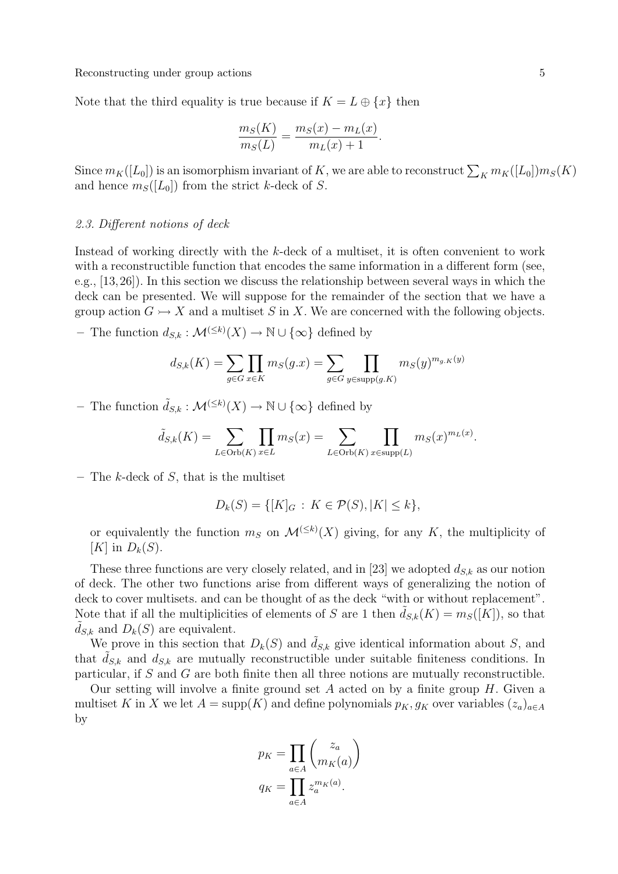Note that the third equality is true because if  $K = L \oplus \{x\}$  then

$$
\frac{m_S(K)}{m_S(L)} = \frac{m_S(x) - m_L(x)}{m_L(x) + 1}.
$$

Since  $m_K([L_0])$  is an isomorphism invariant of K, we are able to reconstruct  $\sum_K m_K([L_0])m_S(K)$ and hence  $m<sub>S</sub>(L<sub>0</sub>)$  from the strict k-deck of S.

### 2.3. Different notions of deck

Instead of working directly with the k-deck of a multiset, it is often convenient to work with a reconstructible function that encodes the same information in a different form (see, e.g., [13,26]). In this section we discuss the relationship between several ways in which the deck can be presented. We will suppose for the remainder of the section that we have a group action  $G \rightarrowtail X$  and a multiset S in X. We are concerned with the following objects.

- The function  $d_{S,k} : \mathcal{M}^{(\leq k)}(X) \to \mathbb{N} \cup {\infty}$  defined by

$$
d_{S,k}(K) = \sum_{g \in G} \prod_{x \in K} m_S(g.x) = \sum_{g \in G} \prod_{y \in \text{supp}(g.K)} m_S(y)^{m_{g.K}(y)}
$$

- The function  $\tilde{d}_{S,k} : \mathcal{M}^{(\leq k)}(X) \to \mathbb{N} \cup {\infty}$  defined by

$$
\tilde{d}_{S,k}(K) = \sum_{L \in \text{Orb}(K)} \prod_{x \in L} m_S(x) = \sum_{L \in \text{Orb}(K)} \prod_{x \in \text{supp}(L)} m_S(x)^{m_L(x)}
$$

– The  $k$ -deck of  $S$ , that is the multiset

$$
D_k(S) = \{ [K]_G : K \in \mathcal{P}(S), |K| \le k \},\
$$

or equivalently the function  $m_S$  on  $\mathcal{M}^{(\leq k)}(X)$  giving, for any K, the multiplicity of  $[K]$  in  $D_k(S)$ .

These three functions are very closely related, and in [23] we adopted  $d_{S,k}$  as our notion of deck. The other two functions arise from different ways of generalizing the notion of deck to cover multisets. and can be thought of as the deck "with or without replacement". Note that if all the multiplicities of elements of S are 1 then  $d_{S,k}(K) = m_S([K])$ , so that  $d_{S,k}$  and  $D_k(S)$  are equivalent.

We prove in this section that  $D_k(S)$  and  $\tilde{d}_{S,k}$  give identical information about S, and that  $d_{S,k}$  and  $d_{S,k}$  are mutually reconstructible under suitable finiteness conditions. In particular, if S and G are both finite then all three notions are mutually reconstructible.

Our setting will involve a finite ground set  $A$  acted on by a finite group  $H$ . Given a multiset K in X we let  $A = \text{supp}(K)$  and define polynomials  $p_K, g_K$  over variables  $(z_a)_{a \in A}$ by

$$
p_K = \prod_{a \in A} {z_a \choose m_K(a)}
$$

$$
q_K = \prod_{a \in A} z_a^{m_K(a)}.
$$

.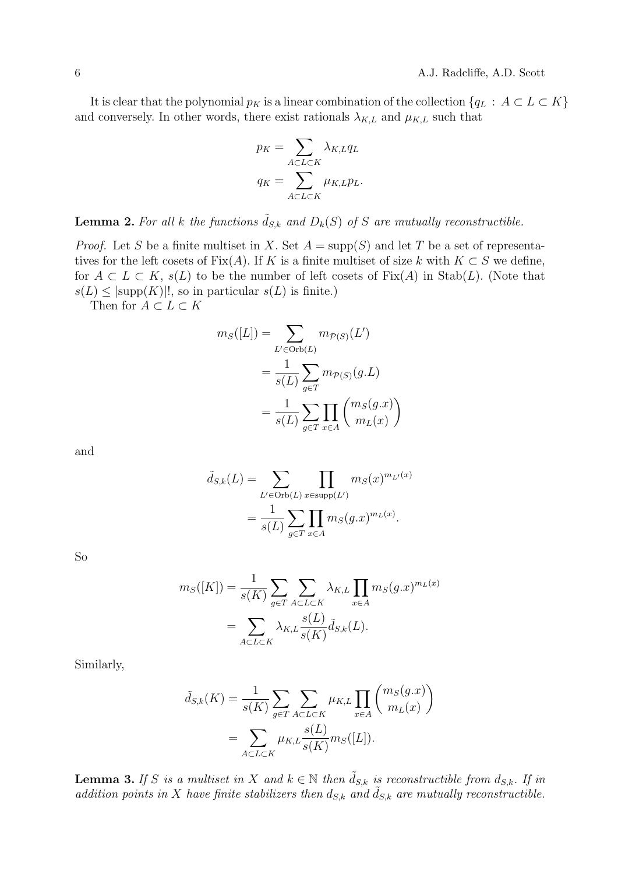It is clear that the polynomial  $p_K$  is a linear combination of the collection  $\{q_L : A \subset L \subset K\}$ and conversely. In other words, there exist rationals  $\lambda_{K,L}$  and  $\mu_{K,L}$  such that

$$
p_K = \sum_{A \subset L \subset K} \lambda_{K,L} q_L
$$

$$
q_K = \sum_{A \subset L \subset K} \mu_{K,L} p_L.
$$

**Lemma 2.** For all k the functions  $\tilde{d}_{S,k}$  and  $D_k(S)$  of S are mutually reconstructible.

*Proof.* Let S be a finite multiset in X. Set  $A = \text{supp}(S)$  and let T be a set of representatives for the left cosets of Fix(A). If K is a finite multiset of size k with  $K \subset S$  we define, for  $A \subset L \subset K$ ,  $s(L)$  to be the number of left cosets of  $Fix(A)$  in  $Stab(L)$ . (Note that  $s(L) \leq |\text{supp}(K)|!$ , so in particular  $s(L)$  is finite.)

Then for  $A\subset L\subset K$ 

$$
m_S([L]) = \sum_{L' \in \text{Orb}(L)} m_{\mathcal{P}(S)}(L')
$$
  
= 
$$
\frac{1}{s(L)} \sum_{g \in T} m_{\mathcal{P}(S)}(g.L)
$$
  
= 
$$
\frac{1}{s(L)} \sum_{g \in T} \prod_{x \in A} \binom{m_S(g.x)}{m_L(x)}
$$

and

$$
\tilde{d}_{S,k}(L) = \sum_{L' \in \text{Orb}(L)} \prod_{x \in \text{supp}(L')} m_S(x)^{m_{L'}(x)}
$$

$$
= \frac{1}{s(L)} \sum_{g \in T} \prod_{x \in A} m_S(g.x)^{m_L(x)}.
$$

So

$$
m_S([K]) = \frac{1}{s(K)} \sum_{g \in T} \sum_{A \subset L \subset K} \lambda_{K,L} \prod_{x \in A} m_S(g.x)^{m_L(x)}
$$

$$
= \sum_{A \subset L \subset K} \lambda_{K,L} \frac{s(L)}{s(K)} \tilde{d}_{S,k}(L).
$$

Similarly,

$$
\tilde{d}_{S,k}(K) = \frac{1}{s(K)} \sum_{g \in T} \sum_{A \subset L \subset K} \mu_{K,L} \prod_{x \in A} \binom{m_S(g.x)}{m_L(x)}
$$

$$
= \sum_{A \subset L \subset K} \mu_{K,L} \frac{s(L)}{s(K)} m_S([L]).
$$

**Lemma 3.** If S is a multiset in X and  $k \in \mathbb{N}$  then  $\tilde{d}_{S,k}$  is reconstructible from  $d_{S,k}$ . If in addition points in X have finite stabilizers then  $d_{S,k}$  and  $\tilde{d}_{S,k}$  are mutually reconstructible.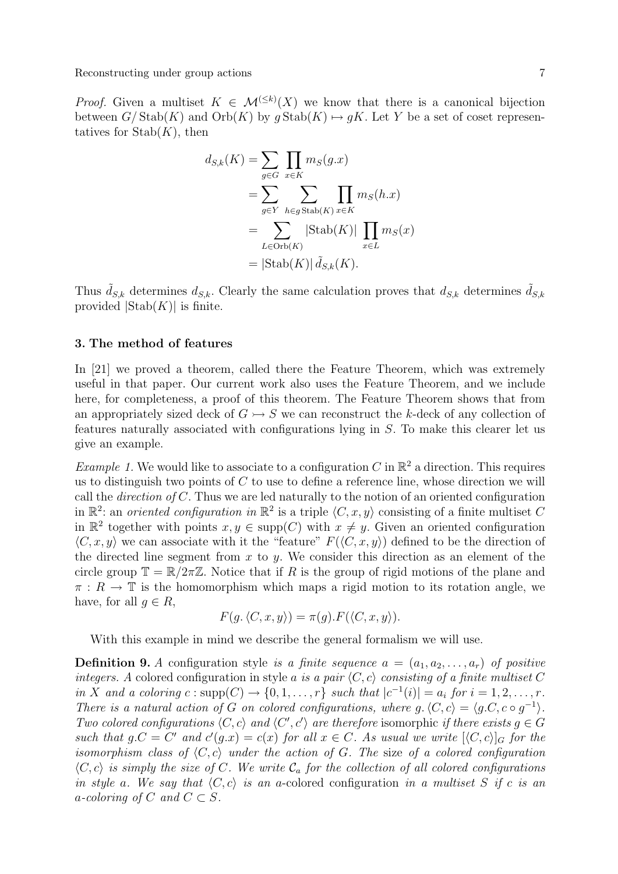*Proof.* Given a multiset  $K \in \mathcal{M}^{(\leq k)}(X)$  we know that there is a canonical bijection between  $G/\text{Stab}(K)$  and  $\text{Orb}(K)$  by  $g\text{Stab}(K) \mapsto gK$ . Let Y be a set of coset representatives for  $\mathrm{Stab}(K)$ , then

$$
d_{S,k}(K) = \sum_{g \in G} \prod_{x \in K} m_S(g.x)
$$
  
= 
$$
\sum_{g \in Y} \sum_{h \in g \text{Stab}(K)} \prod_{x \in K} m_S(h.x)
$$
  
= 
$$
\sum_{L \in \text{Orb}(K)} |\text{Stab}(K)| \prod_{x \in L} m_S(x)
$$
  
= 
$$
|\text{Stab}(K)| \tilde{d}_{S,k}(K).
$$

Thus  $\tilde{d}_{S,k}$  determines  $d_{S,k}$ . Clearly the same calculation proves that  $d_{S,k}$  determines  $\tilde{d}_{S,k}$ provided  $|{\rm Stab}(K)|$  is finite.

## 3. The method of features

In [21] we proved a theorem, called there the Feature Theorem, which was extremely useful in that paper. Our current work also uses the Feature Theorem, and we include here, for completeness, a proof of this theorem. The Feature Theorem shows that from an appropriately sized deck of  $G \rightarrow S$  we can reconstruct the k-deck of any collection of features naturally associated with configurations lying in S. To make this clearer let us give an example.

*Example 1*. We would like to associate to a configuration C in  $\mathbb{R}^2$  a direction. This requires us to distinguish two points of  $C$  to use to define a reference line, whose direction we will call the *direction of C*. Thus we are led naturally to the notion of an oriented configuration in  $\mathbb{R}^2$ : an *oriented configuration in*  $\mathbb{R}^2$  is a triple  $\langle C, x, y \rangle$  consisting of a finite multiset C in  $\mathbb{R}^2$  together with points  $x, y \in \text{supp}(C)$  with  $x \neq y$ . Given an oriented configuration  $\langle C, x, y \rangle$  we can associate with it the "feature"  $F(\langle C, x, y \rangle)$  defined to be the direction of the directed line segment from  $x$  to  $y$ . We consider this direction as an element of the circle group  $\mathbb{T} = \mathbb{R}/2\pi\mathbb{Z}$ . Notice that if R is the group of rigid motions of the plane and  $\pi: R \to \mathbb{T}$  is the homomorphism which maps a rigid motion to its rotation angle, we have, for all  $q \in R$ ,

$$
F(g, \langle C, x, y \rangle) = \pi(g). F(\langle C, x, y \rangle).
$$

With this example in mind we describe the general formalism we will use.

**Definition 9.** A configuration style is a finite sequence  $a = (a_1, a_2, \ldots, a_r)$  of positive integers. A colored configuration in style a is a pair  $\langle C, c \rangle$  consisting of a finite multiset C in X and a coloring  $c: \text{supp}(C) \to \{0, 1, \ldots, r\}$  such that  $|c^{-1}(i)| = a_i$  for  $i = 1, 2, \ldots, r$ . There is a natural action of G on colored configurations, where  $g \, \langle C, c \rangle = \langle g \, C, c \circ g^{-1} \rangle$ . Two colored configurations  $\langle C, c \rangle$  and  $\langle C', c' \rangle$  are therefore isomorphic if there exists  $g \in G$ such that  $g.C = C'$  and  $c'(g.x) = c(x)$  for all  $x \in C$ . As usual we write  $[\langle C, c \rangle]_G$  for the isomorphism class of  $\langle C, c \rangle$  under the action of G. The size of a colored configuration  $\langle C, c \rangle$  is simply the size of C. We write  $C_a$  for the collection of all colored configurations in style a. We say that  $\langle C, c \rangle$  is an a-colored configuration in a multiset S if c is an a-coloring of C and  $C \subset S$ .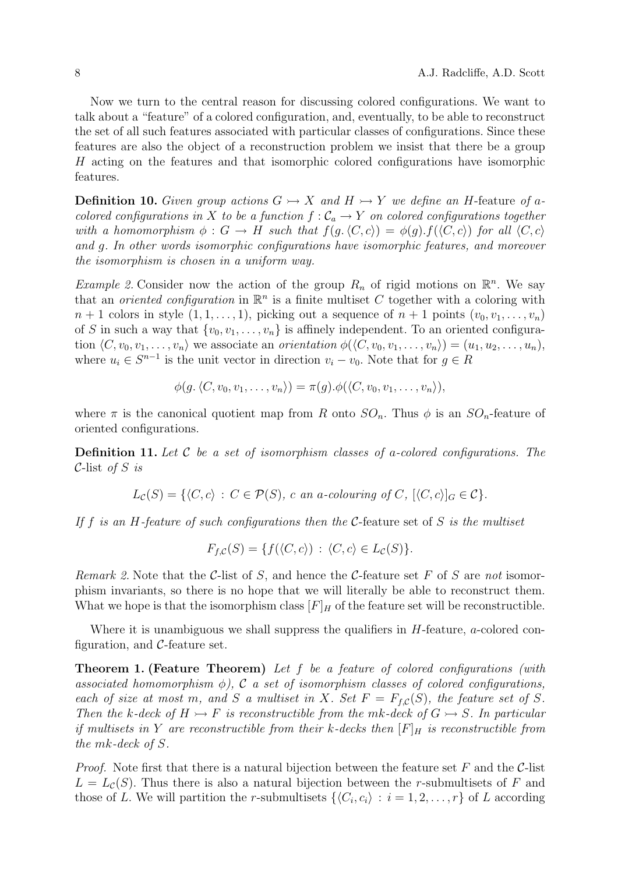Now we turn to the central reason for discussing colored configurations. We want to talk about a "feature" of a colored configuration, and, eventually, to be able to reconstruct the set of all such features associated with particular classes of configurations. Since these features are also the object of a reconstruction problem we insist that there be a group H acting on the features and that isomorphic colored configurations have isomorphic features.

**Definition 10.** Given group actions  $G \rightarrow X$  and  $H \rightarrow Y$  we define an H-feature of acolored configurations in X to be a function  $f : C_a \to Y$  on colored configurations together with a homomorphism  $\phi : G \to H$  such that  $f(g, \langle C, c \rangle) = \phi(g) \cdot f(\langle C, c \rangle)$  for all  $\langle C, c \rangle$ and g. In other words isomorphic configurations have isomorphic features, and moreover the isomorphism is chosen in a uniform way.

*Example 2.* Consider now the action of the group  $R_n$  of rigid motions on  $\mathbb{R}^n$ . We say that an *oriented configuration* in  $\mathbb{R}^n$  is a finite multiset C together with a coloring with  $n+1$  colors in style  $(1, 1, \ldots, 1)$ , picking out a sequence of  $n+1$  points  $(v_0, v_1, \ldots, v_n)$ of S in such a way that  $\{v_0, v_1, \ldots, v_n\}$  is affinely independent. To an oriented configuration  $\langle C, v_0, v_1, \ldots, v_n \rangle$  we associate an *orientation*  $\phi(\langle C, v_0, v_1, \ldots, v_n \rangle) = (u_1, u_2, \ldots, u_n)$ , where  $u_i \in S^{n-1}$  is the unit vector in direction  $v_i - v_0$ . Note that for  $g \in R$ 

$$
\phi(g, \langle C, v_0, v_1, \ldots, v_n \rangle) = \pi(g). \phi(\langle C, v_0, v_1, \ldots, v_n \rangle),
$$

where  $\pi$  is the canonical quotient map from R onto  $SO_n$ . Thus  $\phi$  is an  $SO_n$ -feature of oriented configurations.

**Definition 11.** Let C be a set of isomorphism classes of a-colored configurations. The C-list of  $S$  is

$$
L_{\mathcal{C}}(S) = \{ \langle C, c \rangle : C \in \mathcal{P}(S), \, c \text{ an a-colouring of } C, \, [\langle C, c \rangle]_G \in \mathcal{C} \}.
$$

If f is an H-feature of such configurations then the C-feature set of S is the multiset

$$
F_{f,C}(S) = \{ f(\langle C, c \rangle) : \langle C, c \rangle \in L_C(S) \}.
$$

Remark 2. Note that the C-list of S, and hence the C-feature set F of S are not isomorphism invariants, so there is no hope that we will literally be able to reconstruct them. What we hope is that the isomorphism class  $[F]_H$  of the feature set will be reconstructible.

Where it is unambiguous we shall suppress the qualifiers in  $H$ -feature, a-colored configuration, and  $C$ -feature set.

Theorem 1. (Feature Theorem) Let f be a feature of colored configurations (with associated homomorphism  $\phi$ ), C a set of isomorphism classes of colored configurations, each of size at most m, and S a multiset in X. Set  $F = F_{f,C}(S)$ , the feature set of S. Then the k-deck of  $H \rightarrow F$  is reconstructible from the mk-deck of  $G \rightarrow S$ . In particular if multisets in Y are reconstructible from their k-decks then  $[F]_H$  is reconstructible from the mk-deck of S.

*Proof.* Note first that there is a natural bijection between the feature set F and the C-list  $L = L<sub>c</sub>(S)$ . Thus there is also a natural bijection between the r-submultisets of F and those of L. We will partition the r-submultisets  $\{\langle C_i, c_i \rangle : i = 1, 2, \ldots, r\}$  of L according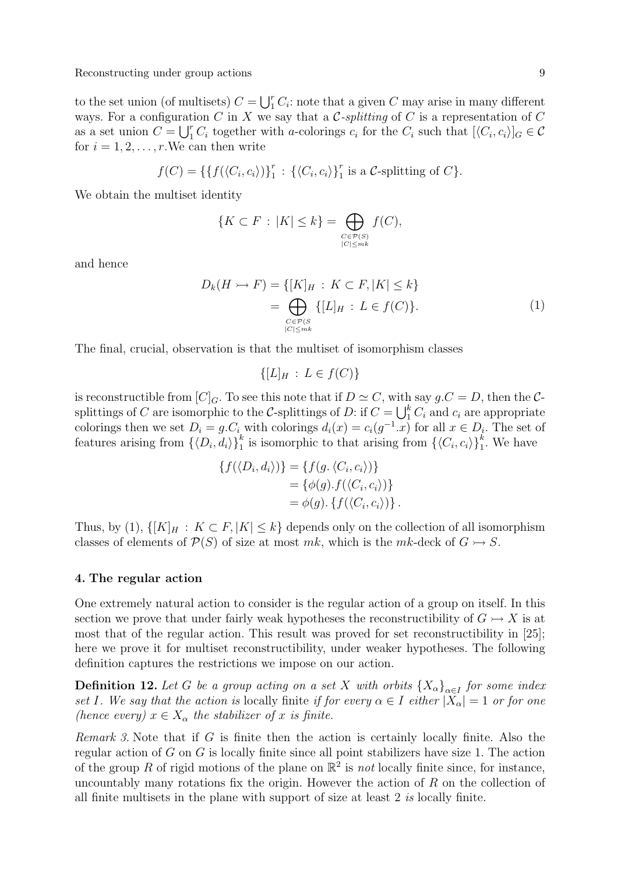to the set union (of multisets)  $C = \bigcup_{i=1}^{r} C_i$ : note that a given C may arise in many different ways. For a configuration C in X we say that a C-splitting of C is a representation of C as a set union  $C = \bigcup_{i=1}^{r} C_i$  together with a-colorings  $c_i$  for the  $C_i$  such that  $[\langle C_i, c_i \rangle]_G \in \mathcal{C}$ for  $i = 1, 2, \ldots, r$ . We can then write

$$
f(C) = \{ \{ f(\langle C_i, c_i \rangle) \}_{1}^{r} : \{ \langle C_i, c_i \rangle \}_{1}^{r} \text{ is a } C \text{-splitting of } C \}.
$$

We obtain the multiset identity

$$
\{K \subset F \,:\, |K| \le k\} = \bigoplus_{\substack{C \in \mathcal{P}(S) \\ |C| \le mk}} f(C),
$$

and hence

$$
D_k(H \rightarrow F) = \{ [K]_H : K \subset F, |K| \le k \}
$$
  
= 
$$
\bigoplus_{\substack{C \in \mathcal{P}(S) \\ |C| \le m^k}} \{ [L]_H : L \in f(C) \}. \tag{1}
$$

The final, crucial, observation is that the multiset of isomorphism classes

$$
\{[L]_H : L \in f(C)\}
$$

is reconstructible from  $[C]_G$ . To see this note that if  $D \simeq C$ , with say  $g.C = D$ , then the Csplittings of C are isomorphic to the C-splittings of D: if  $C = \bigcup_{i=1}^{k} C_i$  and  $c_i$  are appropriate colorings then we set  $D_i = g.C_i$  with colorings  $d_i(x) = c_i(g^{-1}x)$  for all  $x \in D_i$ . The set of features arising from  $\{\langle D_i, d_i \rangle\}_{1}^k$  is isomorphic to that arising from  $\{\langle C_i, c_i \rangle\}_{1}^k$ . We have

$$
\{f(\langle D_i, d_i \rangle)\} = \{f(g, \langle C_i, c_i \rangle)\}
$$
  
=  $\{\phi(g). f(\langle C_i, c_i \rangle)\}$   
=  $\phi(g). \{f(\langle C_i, c_i \rangle)\}.$ 

Thus, by (1),  $\{[K]_H : K \subset F, |K| \leq k\}$  depends only on the collection of all isomorphism classes of elements of  $\mathcal{P}(S)$  of size at most mk, which is the mk-deck of  $G \rightarrow S$ .

## 4. The regular action

One extremely natural action to consider is the regular action of a group on itself. In this section we prove that under fairly weak hypotheses the reconstructibility of  $G \rightarrow X$  is at most that of the regular action. This result was proved for set reconstructibility in [25]; here we prove it for multiset reconstructibility, under weaker hypotheses. The following definition captures the restrictions we impose on our action.

**Definition 12.** Let G be a group acting on a set X with orbits  ${X_{\alpha}}_{\alpha \in I}$  for some index set I. We say that the action is locally finite if for every  $\alpha \in I$  either  $|X_{\alpha}| = 1$  or for one (hence every)  $x \in X_\alpha$  the stabilizer of x is finite.

Remark 3. Note that if  $G$  is finite then the action is certainly locally finite. Also the regular action of  $G$  on  $G$  is locally finite since all point stabilizers have size 1. The action of the group R of rigid motions of the plane on  $\mathbb{R}^2$  is not locally finite since, for instance, uncountably many rotations fix the origin. However the action of  $R$  on the collection of all finite multisets in the plane with support of size at least 2 is locally finite.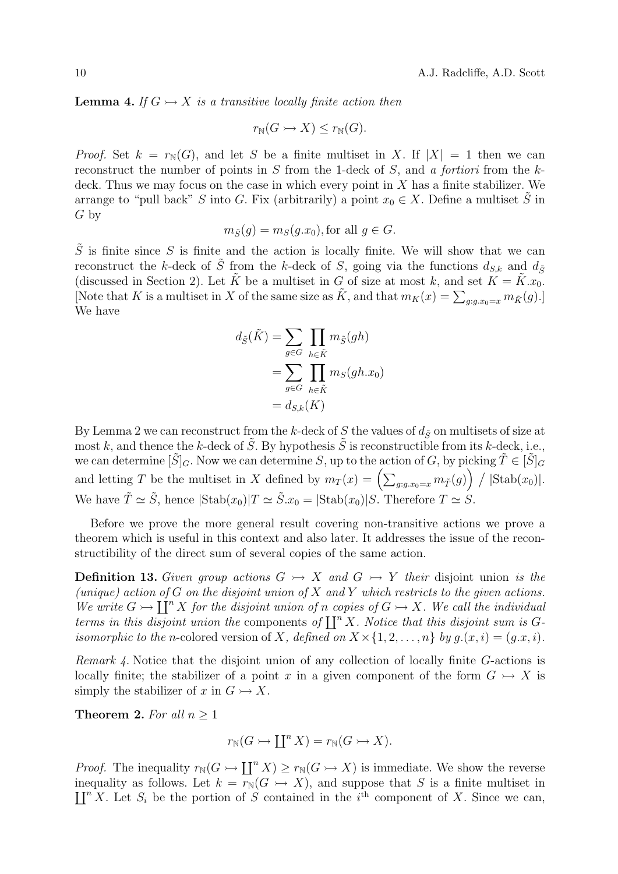**Lemma 4.** If  $G \rightarrowtail X$  is a transitive locally finite action then

$$
r_{\mathbb{N}}(G \rightarrowtail X) \leq r_{\mathbb{N}}(G).
$$

*Proof.* Set  $k = r_N(G)$ , and let S be a finite multiset in X. If  $|X| = 1$  then we can reconstruct the number of points in S from the 1-deck of S, and a fortiori from the  $k$ deck. Thus we may focus on the case in which every point in  $X$  has a finite stabilizer. We arrange to "pull back" S into G. Fix (arbitrarily) a point  $x_0 \in X$ . Define a multiset S in G by

$$
m_{\tilde{S}}(g) = m_S(g.x_0), \text{for all } g \in G.
$$

 $\tilde{S}$  is finite since S is finite and the action is locally finite. We will show that we can reconstruct the k-deck of  $\tilde{S}$  from the k-deck of S, going via the functions  $d_{S,k}$  and  $d_{\tilde{S}}$ (discussed in Section 2). Let  $\tilde{K}$  be a multiset in G of size at most k, and set  $K = \tilde{K} \cdot x_0$ . [Note that K is a multiset in X of the same size as  $\tilde{K}$ , and that  $m_K(x) = \sum_{g:g.x_0=x} m_{\tilde{K}}(g)$ .] We have

$$
d_{\tilde{S}}(\tilde{K}) = \sum_{g \in G} \prod_{h \in \tilde{K}} m_{\tilde{S}}(gh)
$$

$$
= \sum_{g \in G} \prod_{h \in \tilde{K}} m_{S}(gh.x_0)
$$

$$
= d_{S,k}(K)
$$

By Lemma 2 we can reconstruct from the k-deck of S the values of  $d_{\tilde{S}}$  on multisets of size at most k, and thence the k-deck of S. By hypothesis  $\tilde{S}$  is reconstructible from its k-deck, i.e., we can determine  $[\tilde{S}]_G$ . Now we can determine S, up to the action of G, by picking  $\tilde{T} \in [\tilde{S}]_G$ and letting T be the multiset in X defined by  $m_T(x) = \left(\sum_{g:g.x_0=x} m_{\tilde{T}}(g)\right) / |\text{Stab}(x_0)|.$ We have  $\tilde{T} \simeq \tilde{S}$ , hence  $|\text{Stab}(x_0)|T \simeq \tilde{S}x_0 = |\text{Stab}(x_0)|S$ . Therefore  $T \simeq S$ .

Before we prove the more general result covering non-transitive actions we prove a theorem which is useful in this context and also later. It addresses the issue of the reconstructibility of the direct sum of several copies of the same action.

**Definition 13.** Given group actions  $G \rightarrow X$  and  $G \rightarrow Y$  their disjoint union is the (unique) action of G on the disjoint union of X and Y which restricts to the given actions. We write  $G \rightarrow \prod^n X$  for the disjoint union of n copies of  $G \rightarrow X$ . We call the individual terms in this disjoint union the components of  $\prod^n X$ . Notice that this disjoint sum is Gisomorphic to the n-colored version of X, defined on  $X \times \{1, 2, ..., n\}$  by  $g(x, i) = (g.x, i)$ .

Remark 4. Notice that the disjoint union of any collection of locally finite G-actions is locally finite; the stabilizer of a point x in a given component of the form  $G \rightarrow X$  is simply the stabilizer of x in  $G \rightarrow X$ .

Theorem 2. For all  $n \geq 1$ 

$$
r_{\mathbb{N}}(G \rightarrowtail \coprod^{n} X) = r_{\mathbb{N}}(G \rightarrowtail X).
$$

*Proof.* The inequality  $r_N(G) \to \prod^n X \geq r_N(G \to X)$  is immediate. We show the reverse inequality as follows. Let  $k = \overline{r}_{\mathbb{N}}(G \rightarrow X)$ , and suppose that S is a finite multiset in  $\coprod^n X$ . Let  $S_i$  be the portion of S contained in the i<sup>th</sup> component of X. Since we can,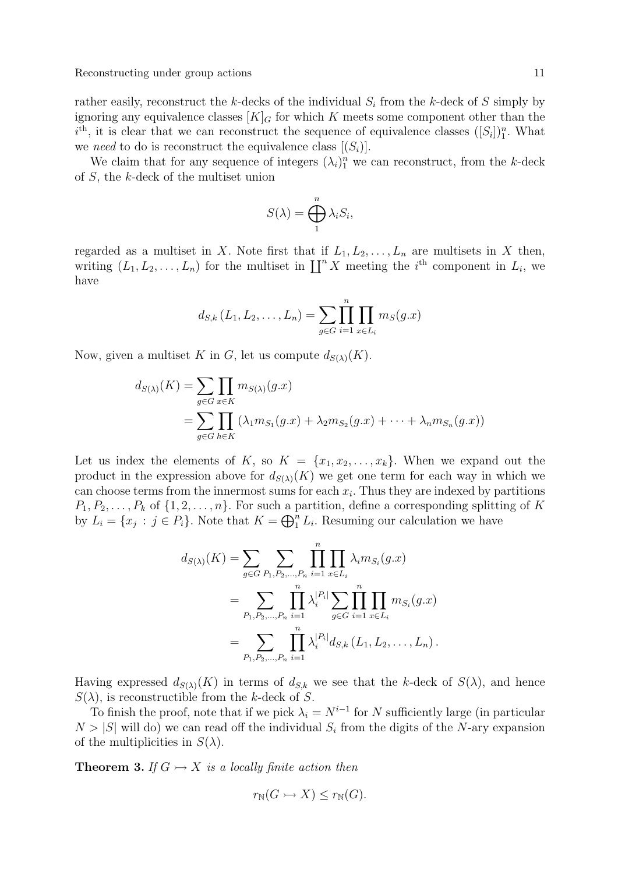rather easily, reconstruct the k-decks of the individual  $S_i$  from the k-deck of S simply by ignoring any equivalence classes  $[K]_G$  for which K meets some component other than the  $i^{\text{th}}$ , it is clear that we can reconstruct the sequence of equivalence classes  $([S_i])_1^n$ . What we need to do is reconstruct the equivalence class  $[(S_i)]$ .

We claim that for any sequence of integers  $(\lambda_i)_1^n$  we can reconstruct, from the k-deck of S, the k-deck of the multiset union

$$
S(\lambda) = \bigoplus_{1}^{n} \lambda_i S_i,
$$

regarded as a multiset in X. Note first that if  $L_1, L_2, \ldots, L_n$  are multisets in X then, writing  $(L_1, L_2, \ldots, L_n)$  for the multiset in  $\coprod^n X$  meeting the i<sup>th</sup> component in  $L_i$ , we have

$$
d_{S,k}(L_1, L_2, \ldots, L_n) = \sum_{g \in G} \prod_{i=1}^n \prod_{x \in L_i} m_S(g.x)
$$

Now, given a multiset K in G, let us compute  $d_{S(\lambda)}(K)$ .

$$
d_{S(\lambda)}(K) = \sum_{g \in G} \prod_{x \in K} m_{S(\lambda)}(g.x)
$$
  
= 
$$
\sum_{g \in G} \prod_{h \in K} (\lambda_1 m_{S_1}(g.x) + \lambda_2 m_{S_2}(g.x) + \dots + \lambda_n m_{S_n}(g.x))
$$

Let us index the elements of K, so  $K = \{x_1, x_2, \ldots, x_k\}$ . When we expand out the product in the expression above for  $d_{S(\lambda)}(K)$  we get one term for each way in which we can choose terms from the innermost sums for each  $x_i$ . Thus they are indexed by partitions  $P_1, P_2, \ldots, P_k$  of  $\{1, 2, \ldots, n\}$ . For such a partition, define a corresponding splitting of K by  $L_i = \{x_j : j \in P_i\}$ . Note that  $K = \bigoplus_{i=1}^{n} L_i$ . Resuming our calculation we have

$$
d_{S(\lambda)}(K) = \sum_{g \in G} \sum_{P_1, P_2, \dots, P_n} \prod_{i=1}^n \prod_{x \in L_i} \lambda_i m_{S_i}(g.x)
$$
  
= 
$$
\sum_{P_1, P_2, \dots, P_n} \prod_{i=1}^n \lambda_i^{|P_i|} \sum_{g \in G} \prod_{i=1}^n \prod_{x \in L_i} m_{S_i}(g.x)
$$
  
= 
$$
\sum_{P_1, P_2, \dots, P_n} \prod_{i=1}^n \lambda_i^{|P_i|} d_{S,k} (L_1, L_2, \dots, L_n).
$$

Having expressed  $d_{S(\lambda)}(K)$  in terms of  $d_{S,k}$  we see that the k-deck of  $S(\lambda)$ , and hence  $S(\lambda)$ , is reconstructible from the k-deck of S.

To finish the proof, note that if we pick  $\lambda_i = N^{i-1}$  for N sufficiently large (in particular  $N > |S|$  will do) we can read off the individual  $S<sub>i</sub>$  from the digits of the N-ary expansion of the multiplicities in  $S(\lambda)$ .

**Theorem 3.** If  $G \rightarrow X$  is a locally finite action then

$$
r_{\mathbb{N}}(G \rightarrowtail X) \leq r_{\mathbb{N}}(G).
$$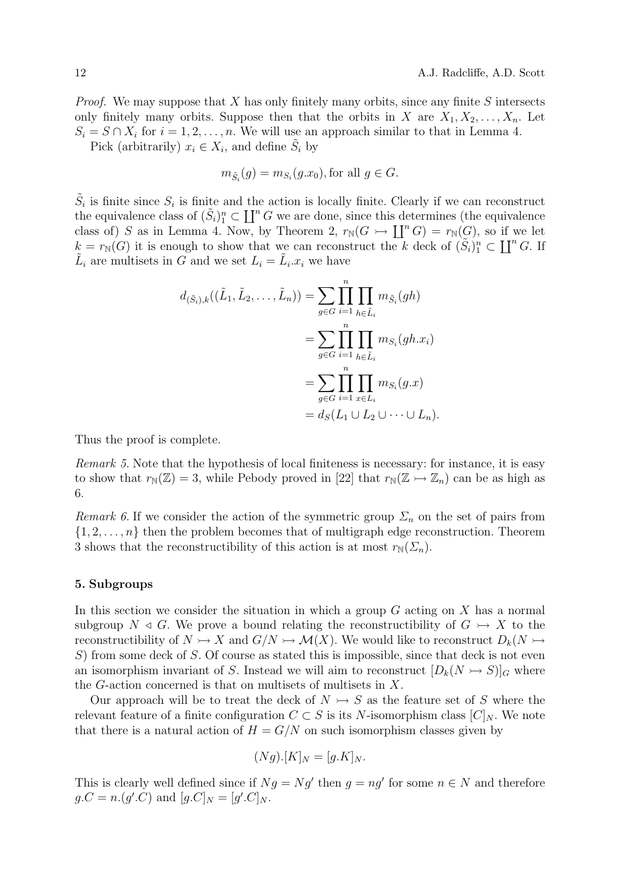*Proof.* We may suppose that X has only finitely many orbits, since any finite S intersects only finitely many orbits. Suppose then that the orbits in X are  $X_1, X_2, \ldots, X_n$ . Let  $S_i = S \cap X_i$  for  $i = 1, 2, ..., n$ . We will use an approach similar to that in Lemma 4. Pick (arbitrarily)  $x_i \in X_i$ , and define  $\tilde{S}_i$  by

$$
m_{\tilde{S}_i}(g) = m_{S_i}(g.x_0), \text{for all } g \in G.
$$

 $\tilde{S}_i$  is finite since  $S_i$  is finite and the action is locally finite. Clearly if we can reconstruct the equivalence class of  $(\tilde{S}_i)_1^n \subset \coprod^n G$  we are done, since this determines (the equivalence class of) S as in Lemma 4. Now, by Theorem 2,  $r_N(G) \to \prod^n G = r_N(G)$ , so if we let  $k = r_N(G)$  it is enough to show that we can reconstruct the k deck of  $(S_i)_1^n \subset \coprod^n G$ . If  $\tilde{L}_i$  are multisets in G and we set  $L_i = \tilde{L}_i x_i$  we have

$$
d_{(\tilde{S}_i),k}((\tilde{L}_1, \tilde{L}_2, ..., \tilde{L}_n)) = \sum_{g \in G} \prod_{i=1}^n \prod_{h \in \tilde{L}_i} m_{\tilde{S}_i}(gh)
$$
  
= 
$$
\sum_{g \in G} \prod_{i=1}^n \prod_{h \in \tilde{L}_i} m_{S_i}(gh.x_i)
$$
  
= 
$$
\sum_{g \in G} \prod_{i=1}^n \prod_{x \in L_i} m_{S_i}(g.x)
$$
  
= 
$$
d_S(L_1 \cup L_2 \cup \dots \cup L_n).
$$

Thus the proof is complete.

Remark 5. Note that the hypothesis of local finiteness is necessary: for instance, it is easy to show that  $r_N(\mathbb{Z}) = 3$ , while Pebody proved in [22] that  $r_N(\mathbb{Z} \rightarrow \mathbb{Z}_n)$  can be as high as 6.

Remark 6. If we consider the action of the symmetric group  $\Sigma_n$  on the set of pairs from  $\{1, 2, \ldots, n\}$  then the problem becomes that of multigraph edge reconstruction. Theorem 3 shows that the reconstructibility of this action is at most  $r_N(\Sigma_n)$ .

## 5. Subgroups

In this section we consider the situation in which a group  $G$  acting on  $X$  has a normal subgroup  $N \triangleleft G$ . We prove a bound relating the reconstructibility of  $G \rightarrow X$  to the reconstructibility of  $N \rightarrow X$  and  $G/N \rightarrow \mathcal{M}(X)$ . We would like to reconstruct  $D_k(N \rightarrow Y)$ S) from some deck of S. Of course as stated this is impossible, since that deck is not even an isomorphism invariant of S. Instead we will aim to reconstruct  $[D_k(N \rightarrow S)]_G$  where the G-action concerned is that on multisets of multisets in X.

Our approach will be to treat the deck of  $N \rightarrow S$  as the feature set of S where the relevant feature of a finite configuration  $C \subset S$  is its N-isomorphism class  $[C]_N$ . We note that there is a natural action of  $H = G/N$  on such isomorphism classes given by

$$
(Ng).[K]_N = [g.K]_N.
$$

This is clearly well defined since if  $Ng = Ng'$  then  $g = ng'$  for some  $n \in N$  and therefore  $g.C = n.(g'.C)$  and  $[g.C]_N = [g'.C]_N$ .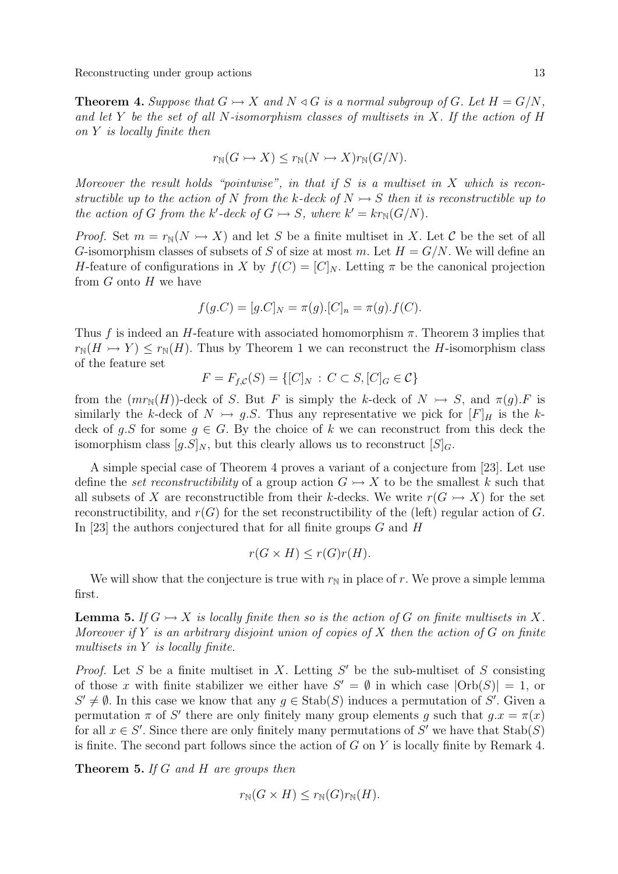**Theorem 4.** Suppose that  $G \rightarrow X$  and  $N \triangleleft G$  is a normal subgroup of G. Let  $H = G/N$ , and let Y be the set of all N-isomorphism classes of multisets in X. If the action of H on Y is locally finite then

$$
r_{\mathbb{N}}(G \rightarrowtail X) \leq r_{\mathbb{N}}(N \rightarrowtail X)r_{\mathbb{N}}(G/N).
$$

Moreover the result holds "pointwise", in that if  $S$  is a multiset in  $X$  which is reconstructible up to the action of N from the k-deck of  $N \rightarrow S$  then it is reconstructible up to the action of G from the k'-deck of  $G \rightarrow S$ , where  $k' = kr_N(G/N)$ .

*Proof.* Set  $m = r_N(N \rightarrow X)$  and let S be a finite multiset in X. Let C be the set of all G-isomorphism classes of subsets of S of size at most m. Let  $H = G/N$ . We will define an H-feature of configurations in X by  $f(C) = [C]_N$ . Letting  $\pi$  be the canonical projection from  $G$  onto  $H$  we have

$$
f(g.C) = [g.C]_N = \pi(g).[C]_n = \pi(g).f(C).
$$

Thus f is indeed an H-feature with associated homomorphism  $\pi$ . Theorem 3 implies that  $r_N(H \rightarrow Y) \leq r_N(H)$ . Thus by Theorem 1 we can reconstruct the H-isomorphism class of the feature set

$$
F = F_{f, C}(S) = \{ [C]_N : C \subset S, [C]_G \in C \}
$$

from the  $(mr_N(H))$ -deck of S. But F is simply the k-deck of  $N \rightarrow S$ , and  $\pi(g)$ . F is similarly the k-deck of  $N \rightarrow g.S$ . Thus any representative we pick for  $[F]_H$  is the kdeck of g.S for some  $g \in G$ . By the choice of k we can reconstruct from this deck the isomorphism class  $[g.S]_N$ , but this clearly allows us to reconstruct  $[S]_G$ .

A simple special case of Theorem 4 proves a variant of a conjecture from [23]. Let use define the set reconstructibility of a group action  $G \rightarrow X$  to be the smallest k such that all subsets of X are reconstructible from their k-decks. We write  $r(G \rightarrow X)$  for the set reconstructibility, and  $r(G)$  for the set reconstructibility of the (left) regular action of G. In [23] the authors conjectured that for all finite groups  $G$  and  $H$ 

$$
r(G \times H) \le r(G)r(H).
$$

We will show that the conjecture is true with  $r_N$  in place of r. We prove a simple lemma first.

**Lemma 5.** If  $G \rightarrow X$  is locally finite then so is the action of G on finite multisets in X. Moreover if Y is an arbitrary disjoint union of copies of X then the action of G on finite multisets in Y is locally finite.

*Proof.* Let S be a finite multiset in X. Letting  $S'$  be the sub-multiset of S consisting of those x with finite stabilizer we either have  $S' = \emptyset$  in which case  $|\text{Orb}(S)| = 1$ , or  $S' \neq \emptyset$ . In this case we know that any  $g \in \text{Stab}(S)$  induces a permutation of S'. Given a permutation  $\pi$  of S' there are only finitely many group elements g such that  $g \cdot x = \pi(x)$ for all  $x \in S'$ . Since there are only finitely many permutations of S' we have that  $\text{Stab}(S)$ is finite. The second part follows since the action of  $G$  on  $Y$  is locally finite by Remark 4.

Theorem 5. If G and H are groups then

$$
r_{\mathbb{N}}(G \times H) \le r_{\mathbb{N}}(G)r_{\mathbb{N}}(H).
$$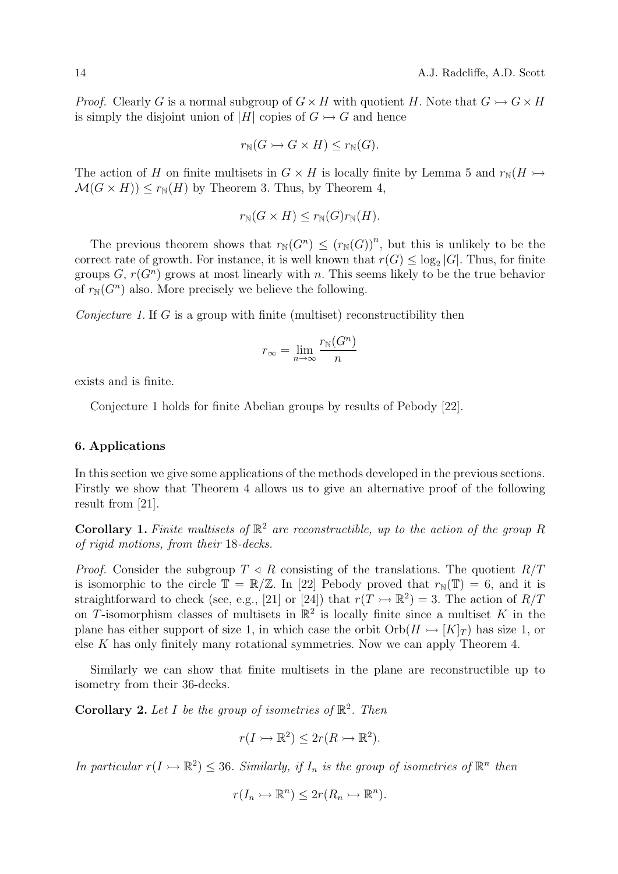*Proof.* Clearly G is a normal subgroup of  $G \times H$  with quotient H. Note that  $G \rightarrow G \times H$ is simply the disjoint union of |H| copies of  $G \rightarrowtail G$  and hence

$$
r_{\mathbb{N}}(G \rightarrowtail G \times H) \leq r_{\mathbb{N}}(G).
$$

The action of H on finite multisets in  $G \times H$  is locally finite by Lemma 5 and  $r_N(H \rightarrowtail$  $\mathcal{M}(G \times H)) \leq r_{\mathbb{N}}(H)$  by Theorem 3. Thus, by Theorem 4,

$$
r_{\mathbb{N}}(G \times H) \le r_{\mathbb{N}}(G)r_{\mathbb{N}}(H).
$$

The previous theorem shows that  $r_N(G^n) \le (r_N(G))^n$ , but this is unlikely to be the correct rate of growth. For instance, it is well known that  $r(G) \leq \log_2 |G|$ . Thus, for finite groups  $G, r(G<sup>n</sup>)$  grows at most linearly with n. This seems likely to be the true behavior of  $r_N(G^n)$  also. More precisely we believe the following.

*Conjecture 1.* If G is a group with finite (multiset) reconstructibility then

$$
r_{\infty} = \lim_{n \to \infty} \frac{r_{\mathbb{N}}(G^n)}{n}
$$

exists and is finite.

Conjecture 1 holds for finite Abelian groups by results of Pebody [22].

## 6. Applications

In this section we give some applications of the methods developed in the previous sections. Firstly we show that Theorem 4 allows us to give an alternative proof of the following result from [21].

**Corollary 1.** Finite multisets of  $\mathbb{R}^2$  are reconstructible, up to the action of the group R of rigid motions, from their 18-decks.

*Proof.* Consider the subgroup  $T \triangleleft R$  consisting of the translations. The quotient  $R/T$ is isomorphic to the circle  $\mathbb{T} = \mathbb{R}/\mathbb{Z}$ . In [22] Pebody proved that  $r_{\mathbb{N}}(\mathbb{T}) = 6$ , and it is straightforward to check (see, e.g., [21] or [24]) that  $r(T \rightarrow \mathbb{R}^2) = 3$ . The action of  $R/T$ on T-isomorphism classes of multisets in  $\mathbb{R}^2$  is locally finite since a multiset K in the plane has either support of size 1, in which case the orbit  $Orb(H \rightarrow [K]_T)$  has size 1, or else K has only finitely many rotational symmetries. Now we can apply Theorem 4.

Similarly we can show that finite multisets in the plane are reconstructible up to isometry from their 36-decks.

**Corollary 2.** Let I be the group of isometries of  $\mathbb{R}^2$ . Then

$$
r(I \rightarrowtail \mathbb{R}^2) \leq 2r(R \rightarrowtail \mathbb{R}^2).
$$

In particular  $r(I \rightarrow \mathbb{R}^2) \leq 36$ . Similarly, if  $I_n$  is the group of isometries of  $\mathbb{R}^n$  then

$$
r(I_n \rightarrowtail \mathbb{R}^n) \leq 2r(R_n \rightarrowtail \mathbb{R}^n).
$$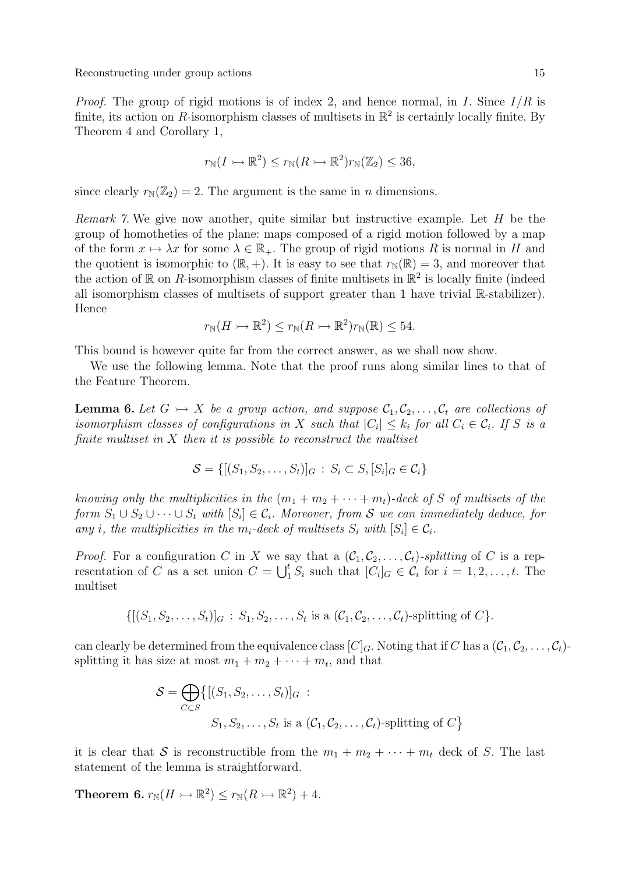*Proof.* The group of rigid motions is of index 2, and hence normal, in I. Since  $I/R$  is finite, its action on R-isomorphism classes of multisets in  $\mathbb{R}^2$  is certainly locally finite. By Theorem 4 and Corollary 1,

$$
r_{\mathbb{N}}(I \rightarrowtail \mathbb{R}^2) \le r_{\mathbb{N}}(R \rightarrowtail \mathbb{R}^2)r_{\mathbb{N}}(\mathbb{Z}_2) \le 36,
$$

since clearly  $r_{\mathbb{N}}(\mathbb{Z}_2) = 2$ . The argument is the same in *n* dimensions.

Remark 7. We give now another, quite similar but instructive example. Let H be the group of homotheties of the plane: maps composed of a rigid motion followed by a map of the form  $x \mapsto \lambda x$  for some  $\lambda \in \mathbb{R}_+$ . The group of rigid motions R is normal in H and the quotient is isomorphic to  $(\mathbb{R}, +)$ . It is easy to see that  $r_{\mathbb{N}}(\mathbb{R}) = 3$ , and moreover that the action of  $\mathbb R$  on R-isomorphism classes of finite multisets in  $\mathbb R^2$  is locally finite (indeed all isomorphism classes of multisets of support greater than 1 have trivial R-stabilizer). Hence

$$
r_{\mathbb{N}}(H \rightarrowtail \mathbb{R}^2) \le r_{\mathbb{N}}(R \rightarrowtail \mathbb{R}^2)r_{\mathbb{N}}(\mathbb{R}) \le 54.
$$

This bound is however quite far from the correct answer, as we shall now show.

We use the following lemma. Note that the proof runs along similar lines to that of the Feature Theorem.

**Lemma 6.** Let  $G \rightarrow X$  be a group action, and suppose  $C_1, C_2, \ldots, C_t$  are collections of isomorphism classes of configurations in X such that  $|C_i| \leq k_i$  for all  $C_i \in \mathcal{C}_i$ . If S is a finite multiset in  $X$  then it is possible to reconstruct the multiset

$$
\mathcal{S} = \{ [(S_1, S_2, \dots, S_t)]_G : S_i \subset S, [S_i]_G \in \mathcal{C}_i \}
$$

knowing only the multiplicities in the  $(m_1 + m_2 + \cdots + m_t)$ -deck of S of multisets of the form  $S_1 \cup S_2 \cup \cdots \cup S_t$  with  $[S_i] \in \mathcal{C}_i$ . Moreover, from S we can immediately deduce, for any *i*, the multiplicities in the  $m_i$ -deck of multisets  $S_i$  with  $[S_i] \in C_i$ .

*Proof.* For a configuration C in X we say that a  $(\mathcal{C}_1, \mathcal{C}_2, \ldots, \mathcal{C}_t)$ -splitting of C is a representation of C as a set union  $C = \bigcup_{i=1}^{t} S_i$  such that  $[C_i]_G \in C_i$  for  $i = 1, 2, ..., t$ . The multiset

 $\{[(S_1, S_2, \ldots, S_t)]_G : S_1, S_2, \ldots, S_t$  is a  $(\mathcal{C}_1, \mathcal{C}_2, \ldots, \mathcal{C}_t)$ -splitting of  $C\}$ .

can clearly be determined from the equivalence class  $[C]<sub>G</sub>$ . Noting that if C has a  $(\mathcal{C}_1, \mathcal{C}_2, \ldots, \mathcal{C}_t)$ splitting it has size at most  $m_1 + m_2 + \cdots + m_t$ , and that

$$
S = \bigoplus_{C \subset S} \{ [(S_1, S_2, \dots, S_t)]_G :
$$
  

$$
S_1, S_2, \dots, S_t \text{ is a } (C_1, C_2, \dots, C_t)\text{-splitting of } C \}
$$

it is clear that S is reconstructible from the  $m_1 + m_2 + \cdots + m_t$  deck of S. The last statement of the lemma is straightforward.

**Theorem 6.**  $r_N(H \rightarrowtail \mathbb{R}^2) \le r_N(R \rightarrowtail \mathbb{R}^2) + 4$ .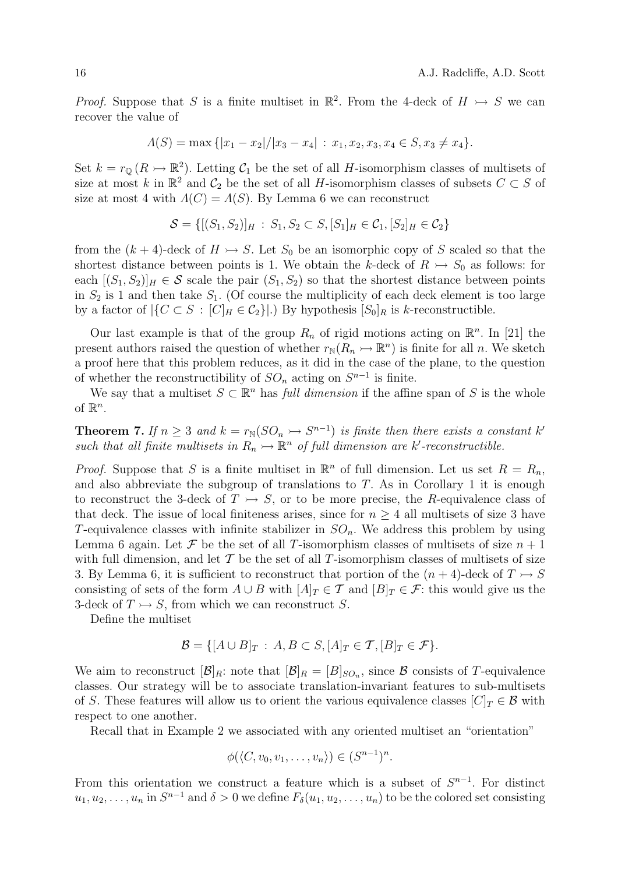*Proof.* Suppose that S is a finite multiset in  $\mathbb{R}^2$ . From the 4-deck of  $H \rightarrow S$  we can recover the value of

$$
\Lambda(S) = \max\{|x_1 - x_2|/|x_3 - x_4| : x_1, x_2, x_3, x_4 \in S, x_3 \neq x_4\}.
$$

Set  $k = r_{\mathbb{Q}}(R \rightarrow \mathbb{R}^2)$ . Letting  $C_1$  be the set of all *H*-isomorphism classes of multisets of size at most k in  $\mathbb{R}^2$  and  $\mathcal{C}_2$  be the set of all H-isomorphism classes of subsets  $C \subset S$  of size at most 4 with  $\Lambda(C) = \Lambda(S)$ . By Lemma 6 we can reconstruct

$$
\mathcal{S} = \{ [(S_1, S_2)]_H : S_1, S_2 \subset S, [S_1]_H \in \mathcal{C}_1, [S_2]_H \in \mathcal{C}_2 \}
$$

from the  $(k + 4)$ -deck of  $H \rightarrow S$ . Let  $S_0$  be an isomorphic copy of S scaled so that the shortest distance between points is 1. We obtain the k-deck of  $R \rightarrow S_0$  as follows: for each  $[(S_1, S_2)]_H \in \mathcal{S}$  scale the pair  $(S_1, S_2)$  so that the shortest distance between points in  $S_2$  is 1 and then take  $S_1$ . (Of course the multiplicity of each deck element is too large by a factor of  $|\{C \subset S : [C]_H \in C_2\}|$ . By hypothesis  $[S_0]_R$  is k-reconstructible.

Our last example is that of the group  $R_n$  of rigid motions acting on  $\mathbb{R}^n$ . In [21] the present authors raised the question of whether  $r_N(R_n \rightarrow \mathbb{R}^n)$  is finite for all n. We sketch a proof here that this problem reduces, as it did in the case of the plane, to the question of whether the reconstructibility of  $SO_n$  acting on  $S^{n-1}$  is finite.

We say that a multiset  $S \subset \mathbb{R}^n$  has *full dimension* if the affine span of S is the whole of  $\mathbb{R}^n$ .

**Theorem 7.** If  $n \geq 3$  and  $k = r_{\mathbb{N}}(SO_n \rightarrow S^{n-1})$  is finite then there exists a constant k' such that all finite multisets in  $R_n \rightarrow \mathbb{R}^n$  of full dimension are k'-reconstructible.

*Proof.* Suppose that S is a finite multiset in  $\mathbb{R}^n$  of full dimension. Let us set  $R = R_n$ , and also abbreviate the subgroup of translations to  $T$ . As in Corollary 1 it is enough to reconstruct the 3-deck of  $T \rightarrow S$ , or to be more precise, the R-equivalence class of that deck. The issue of local finiteness arises, since for  $n \geq 4$  all multisets of size 3 have T-equivalence classes with infinite stabilizer in  $SO_n$ . We address this problem by using Lemma 6 again. Let  $\mathcal F$  be the set of all T-isomorphism classes of multisets of size  $n+1$ with full dimension, and let  $\mathcal T$  be the set of all  $T$ -isomorphism classes of multisets of size 3. By Lemma 6, it is sufficient to reconstruct that portion of the  $(n+4)$ -deck of  $T \rightarrow S$ consisting of sets of the form  $A \cup B$  with  $[A]_T \in \mathcal{T}$  and  $[B]_T \in \mathcal{F}$ : this would give us the 3-deck of  $T \rightarrow S$ , from which we can reconstruct S.

Define the multiset

$$
\mathcal{B} = \{ [A \cup B]_T : A, B \subset S, [A]_T \in \mathcal{T}, [B]_T \in \mathcal{F} \}.
$$

We aim to reconstruct  $[\mathcal{B}]_R$ : note that  $[\mathcal{B}]_R = [B]_{SO_n}$ , since  $\mathcal B$  consists of T-equivalence classes. Our strategy will be to associate translation-invariant features to sub-multisets of S. These features will allow us to orient the various equivalence classes  $[C]_T \in \mathcal{B}$  with respect to one another.

Recall that in Example 2 we associated with any oriented multiset an "orientation"

$$
\phi(\langle C, v_0, v_1, \dots, v_n \rangle) \in (S^{n-1})^n.
$$

From this orientation we construct a feature which is a subset of  $S^{n-1}$ . For distinct  $u_1, u_2, \ldots, u_n$  in  $S^{n-1}$  and  $\delta > 0$  we define  $F_\delta(u_1, u_2, \ldots, u_n)$  to be the colored set consisting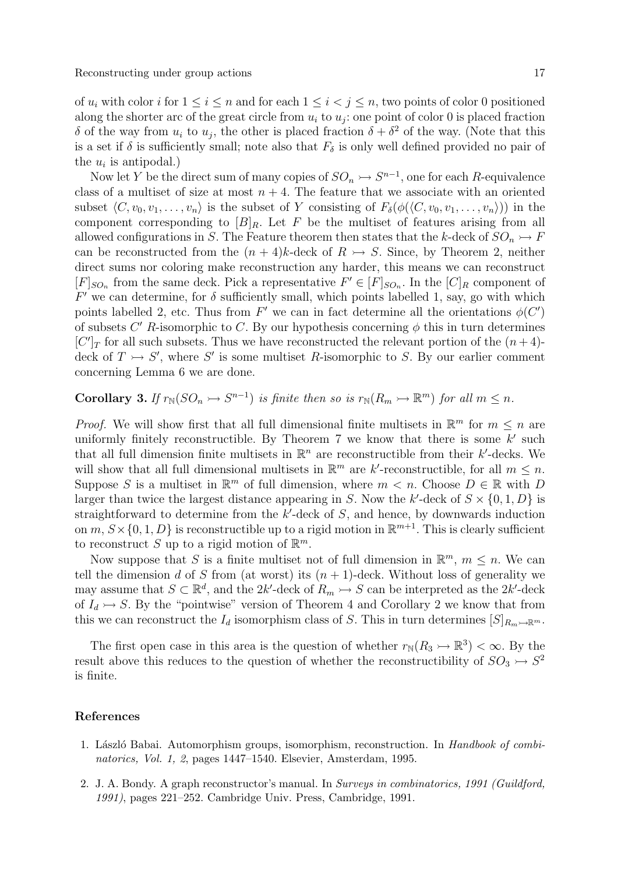of  $u_i$  with color i for  $1 \leq i \leq n$  and for each  $1 \leq i \leq j \leq n$ , two points of color 0 positioned along the shorter arc of the great circle from  $u_i$  to  $u_j$ : one point of color 0 is placed fraction δ of the way from  $u_i$  to  $u_j$ , the other is placed fraction  $\delta + \delta^2$  of the way. (Note that this is a set if  $\delta$  is sufficiently small; note also that  $F_{\delta}$  is only well defined provided no pair of the  $u_i$  is antipodal.)

Now let Y be the direct sum of many copies of  $SO_n \rightarrow S^{n-1}$ , one for each R-equivalence class of a multiset of size at most  $n + 4$ . The feature that we associate with an oriented subset  $\langle C, v_0, v_1, \ldots, v_n \rangle$  is the subset of Y consisting of  $F_\delta(\phi(\langle C, v_0, v_1, \ldots, v_n \rangle))$  in the component corresponding to  $[B]_R$ . Let F be the multiset of features arising from all allowed configurations in S. The Feature theorem then states that the k-deck of  $SO_n \rightarrow F$ can be reconstructed from the  $(n + 4)k$ -deck of  $R \rightarrow S$ . Since, by Theorem 2, neither direct sums nor coloring make reconstruction any harder, this means we can reconstruct  $[F]_{SO_n}$  from the same deck. Pick a representative  $F' \in [F]_{SO_n}$ . In the  $[C]_R$  component of  $F'$  we can determine, for  $\delta$  sufficiently small, which points labelled 1, say, go with which points labelled 2, etc. Thus from F' we can in fact determine all the orientations  $\phi(C')$ of subsets  $C'$  R-isomorphic to C. By our hypothesis concerning  $\phi$  this in turn determines  $[C']_T$  for all such subsets. Thus we have reconstructed the relevant portion of the  $(n+4)$ deck of  $T \rightarrow S'$ , where S' is some multiset R-isomorphic to S. By our earlier comment concerning Lemma 6 we are done.

**Corollary 3.** If  $r_N(SO_n \rightarrow S^{n-1})$  is finite then so is  $r_N(R_m \rightarrow \mathbb{R}^m)$  for all  $m \leq n$ .

*Proof.* We will show first that all full dimensional finite multisets in  $\mathbb{R}^m$  for  $m \leq n$  are uniformly finitely reconstructible. By Theorem  $7$  we know that there is some  $k'$  such that all full dimension finite multisets in  $\mathbb{R}^n$  are reconstructible from their k'-decks. We will show that all full dimensional multisets in  $\mathbb{R}^m$  are k'-reconstructible, for all  $m \leq n$ . Suppose S is a multiset in  $\mathbb{R}^m$  of full dimension, where  $m < n$ . Choose  $D \in \mathbb{R}$  with D larger than twice the largest distance appearing in S. Now the k'-deck of  $S \times \{0, 1, D\}$  is straightforward to determine from the  $k'$ -deck of  $S$ , and hence, by downwards induction on  $m, S \times \{0, 1, D\}$  is reconstructible up to a rigid motion in  $\mathbb{R}^{m+1}$ . This is clearly sufficient to reconstruct S up to a rigid motion of  $\mathbb{R}^m$ .

Now suppose that S is a finite multiset not of full dimension in  $\mathbb{R}^m$ ,  $m \leq n$ . We can tell the dimension d of S from (at worst) its  $(n + 1)$ -deck. Without loss of generality we may assume that  $S \subset \mathbb{R}^d$ , and the 2k'-deck of  $R_m \rightarrow S$  can be interpreted as the 2k'-deck of  $I_d \rightarrow S$ . By the "pointwise" version of Theorem 4 and Corollary 2 we know that from this we can reconstruct the  $I_d$  isomorphism class of S. This in turn determines  $[S]_{R_m\rightarrow\mathbb{R}^m}$ .

The first open case in this area is the question of whether  $r_N(R_3 \rightarrow \mathbb{R}^3) < \infty$ . By the result above this reduces to the question of whether the reconstructibility of  $SO_3 \rightarrow S^2$ is finite.

## References

- 1. László Babai. Automorphism groups, isomorphism, reconstruction. In Handbook of combinatorics, Vol. 1, 2, pages 1447–1540. Elsevier, Amsterdam, 1995.
- 2. J. A. Bondy. A graph reconstructor's manual. In Surveys in combinatorics, 1991 (Guildford, 1991), pages 221–252. Cambridge Univ. Press, Cambridge, 1991.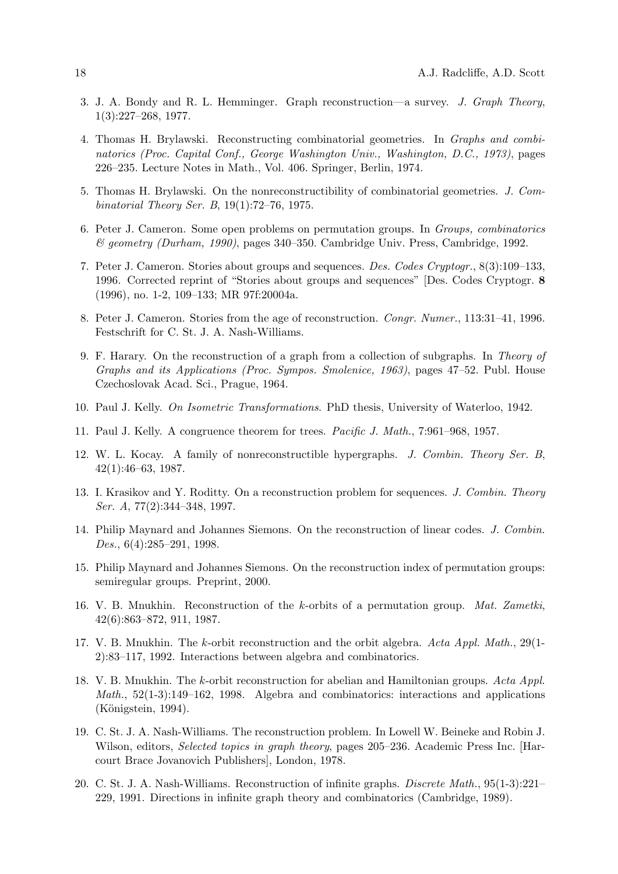- 3. J. A. Bondy and R. L. Hemminger. Graph reconstruction—a survey. J. Graph Theory, 1(3):227–268, 1977.
- 4. Thomas H. Brylawski. Reconstructing combinatorial geometries. In Graphs and combinatorics (Proc. Capital Conf., George Washington Univ., Washington, D.C., 1973), pages 226–235. Lecture Notes in Math., Vol. 406. Springer, Berlin, 1974.
- 5. Thomas H. Brylawski. On the nonreconstructibility of combinatorial geometries. J. Combinatorial Theory Ser. B, 19(1):72–76, 1975.
- 6. Peter J. Cameron. Some open problems on permutation groups. In Groups, combinatorics & geometry (Durham, 1990), pages 340–350. Cambridge Univ. Press, Cambridge, 1992.
- 7. Peter J. Cameron. Stories about groups and sequences. Des. Codes Cryptogr., 8(3):109–133, 1996. Corrected reprint of "Stories about groups and sequences" [Des. Codes Cryptogr. 8 (1996), no. 1-2, 109–133; MR 97f:20004a.
- 8. Peter J. Cameron. Stories from the age of reconstruction. Congr. Numer., 113:31–41, 1996. Festschrift for C. St. J. A. Nash-Williams.
- 9. F. Harary. On the reconstruction of a graph from a collection of subgraphs. In Theory of Graphs and its Applications (Proc. Sympos. Smolenice, 1963), pages 47–52. Publ. House Czechoslovak Acad. Sci., Prague, 1964.
- 10. Paul J. Kelly. On Isometric Transformations. PhD thesis, University of Waterloo, 1942.
- 11. Paul J. Kelly. A congruence theorem for trees. Pacific J. Math., 7:961–968, 1957.
- 12. W. L. Kocay. A family of nonreconstructible hypergraphs. J. Combin. Theory Ser. B, 42(1):46–63, 1987.
- 13. I. Krasikov and Y. Roditty. On a reconstruction problem for sequences. J. Combin. Theory Ser. A, 77(2):344–348, 1997.
- 14. Philip Maynard and Johannes Siemons. On the reconstruction of linear codes. J. Combin. Des., 6(4):285–291, 1998.
- 15. Philip Maynard and Johannes Siemons. On the reconstruction index of permutation groups: semiregular groups. Preprint, 2000.
- 16. V. B. Mnukhin. Reconstruction of the k-orbits of a permutation group. Mat. Zametki, 42(6):863–872, 911, 1987.
- 17. V. B. Mnukhin. The k-orbit reconstruction and the orbit algebra. Acta Appl. Math., 29(1- 2):83–117, 1992. Interactions between algebra and combinatorics.
- 18. V. B. Mnukhin. The k-orbit reconstruction for abelian and Hamiltonian groups. Acta Appl. Math., 52(1-3):149–162, 1998. Algebra and combinatorics: interactions and applications  $(Königstein, 1994).$
- 19. C. St. J. A. Nash-Williams. The reconstruction problem. In Lowell W. Beineke and Robin J. Wilson, editors, *Selected topics in graph theory*, pages 205–236. Academic Press Inc. [Harcourt Brace Jovanovich Publishers], London, 1978.
- 20. C. St. J. A. Nash-Williams. Reconstruction of infinite graphs. Discrete Math., 95(1-3):221– 229, 1991. Directions in infinite graph theory and combinatorics (Cambridge, 1989).